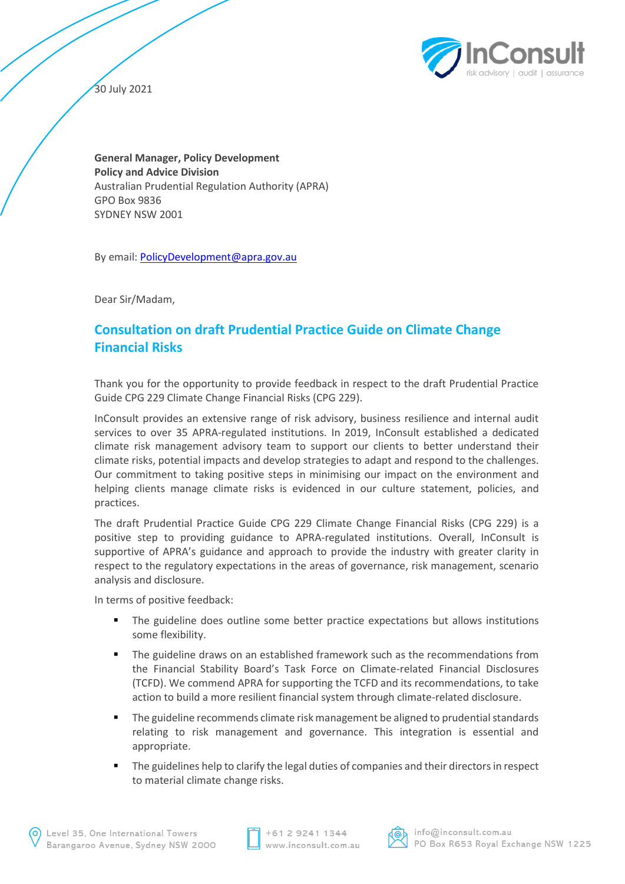

30 July 2021

**General Manager, Policy Development Policy and Advice Division** Australian Prudential Regulation Authority (APRA) GPO Box 9836 SYDNEY NSW 2001

By email: PolicyDevelopment@apra.gov.au

Dear Sir/Madam,

# **Consultation on draft Prudential Practice Guide on Climate Change Financial Risks**

Thank you for the opportunity to provide feedback in respect to the draft Prudential Practice Guide CPG 229 Climate Change Financial Risks (CPG 229).

InConsult provides an extensive range of risk advisory, business resilience and internal audit services to over 35 APRA-regulated institutions. In 2019, InConsult established a dedicated climate risk management advisory team to support our clients to better understand their climate risks, potential impacts and develop strategies to adapt and respond to the challenges. Our commitment to taking positive steps in minimising our impact on the environment and helping clients manage climate risks is evidenced in our culture statement, policies, and practices.

The draft Prudential Practice Guide CPG 229 Climate Change Financial Risks (CPG 229) is a positive step to providing guidance to APRA-regulated institutions. Overall, InConsult is supportive of APRA's guidance and approach to provide the industry with greater clarity in respect to the regulatory expectations in the areas of governance, risk management, scenario analysis and disclosure.

In terms of positive feedback:

- The guideline does outline some better practice expectations but allows institutions some flexibility.
- The guideline draws on an established framework such as the recommendations from the Financial Stability Board's Task Force on Climate-related Financial Disclosures (TCFD). We commend APRA for supporting the TCFD and its recommendations, to take action to build a more resilient financial system through climate-related disclosure.
- The guideline recommends climate risk management be aligned to prudential standards relating to risk management and governance. This integration is essential and appropriate.
- The guidelines help to clarify the legal duties of companies and their directors in respect to material climate change risks.



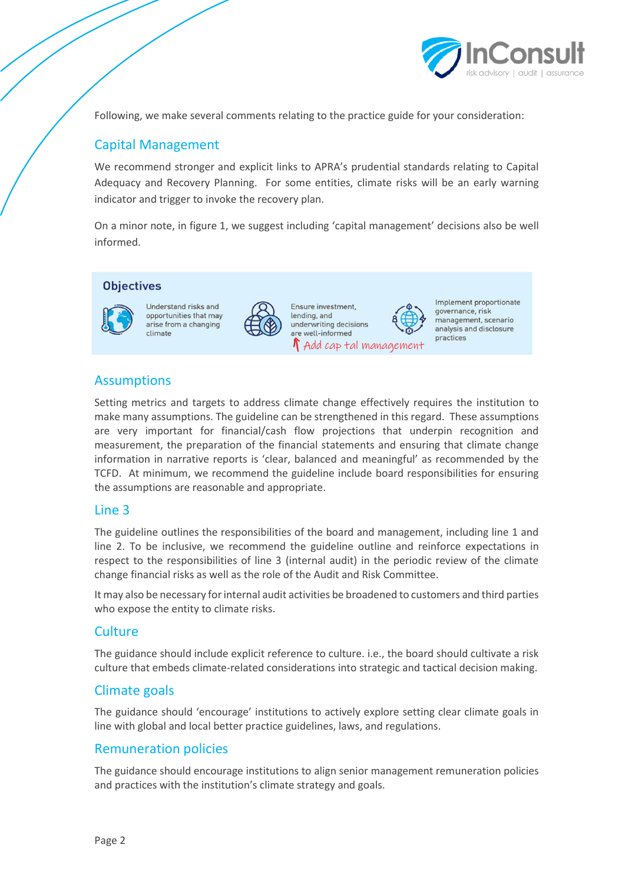

Following, we make several comments relating to the practice guide for your consideration:

# Capital Management

We recommend stronger and explicit links to APRA's prudential standards relating to Capital Adequacy and Recovery Planning. For some entities, climate risks will be an early warning indicator and trigger to invoke the recovery plan.

On a minor note, in figure 1, we suggest including 'capital management' decisions also be well informed.

#### **Objectives**



Understand risks and opportunities that may arise from a changing climate



Ensure investment. lending, and underwriting decisions are well-informed  $\Lambda$  Add cap tal management Implement proportionate governance, risk management, scenario analysis and disclosure practices

## Assumptions

Setting metrics and targets to address climate change effectively requires the institution to make many assumptions. The guideline can be strengthened in this regard. These assumptions are very important for financial/cash flow projections that underpin recognition and measurement, the preparation of the financial statements and ensuring that climate change information in narrative reports is 'clear, balanced and meaningful' as recommended by the TCFD. At minimum, we recommend the guideline include board responsibilities for ensuring the assumptions are reasonable and appropriate.

#### Line 3

The guideline outlines the responsibilities of the board and management, including line 1 and line 2. To be inclusive, we recommend the guideline outline and reinforce expectations in respect to the responsibilities of line 3 (internal audit) in the periodic review of the climate change financial risks as well as the role of the Audit and Risk Committee.

It may also be necessary for internal audit activities be broadened to customers and third parties who expose the entity to climate risks.

#### **Culture**

The guidance should include explicit reference to culture. i.e., the board should cultivate a risk culture that embeds climate-related considerations into strategic and tactical decision making.

## Climate goals

The guidance should 'encourage' institutions to actively explore setting clear climate goals in line with global and local better practice guidelines, laws, and regulations.

#### Remuneration policies

The guidance should encourage institutions to align senior management remuneration policies and practices with the institution's climate strategy and goals.